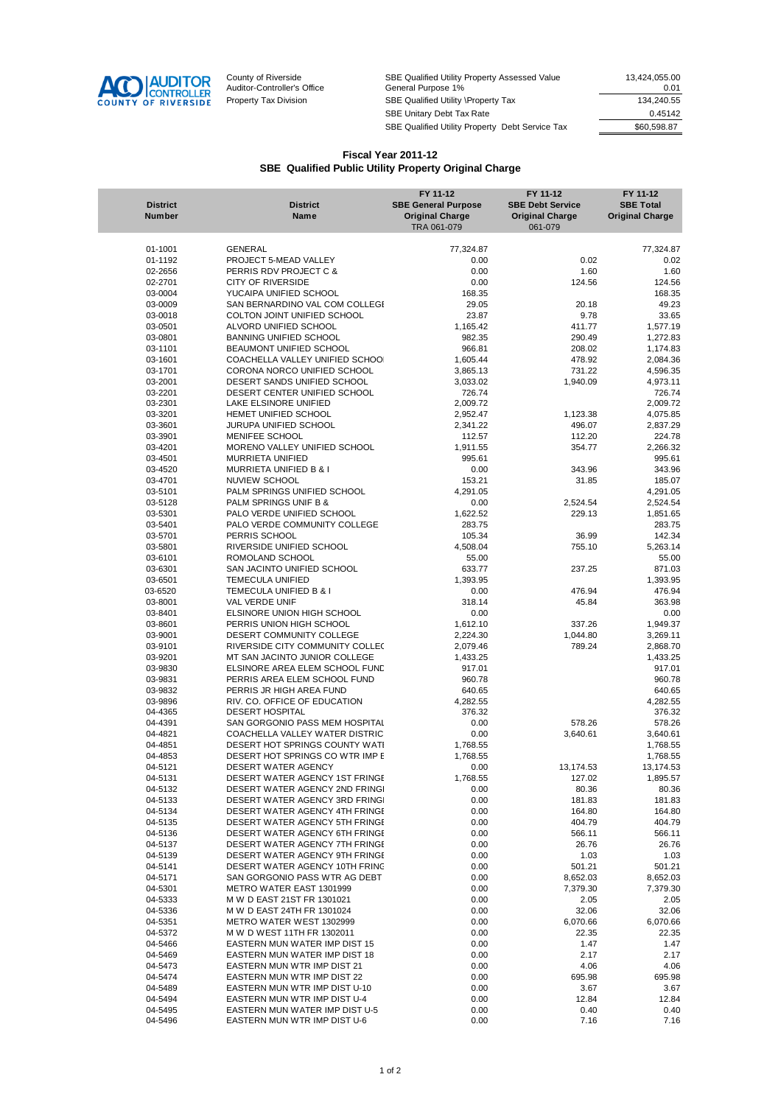

County of Riverside The SBE Qualified Utility Property Assessed Value 13,424,055.00 Auditor-Controller's Office General Purpose 1% 0.01 Property Tax Division SBE Qualified Utility \Property Tax 134,240.55<br>SBE Unitary Debt Tax Rate 0.45142 SBE Unitary Debt Tax Rate 0.45142 SBE Qualified Utility Property Debt Service Tax

## **Fiscal Year 2011-12 SBE Qualified Public Utility Property Original Charge**

| <b>District</b><br><b>Number</b> | <b>District</b><br>Name         | FY 11-12<br><b>SBE General Purpose</b><br><b>Original Charge</b> | FY 11-12<br><b>SBE Debt Service</b><br><b>Original Charge</b> | FY 11-12<br><b>SBE Total</b><br><b>Original Charge</b> |
|----------------------------------|---------------------------------|------------------------------------------------------------------|---------------------------------------------------------------|--------------------------------------------------------|
|                                  |                                 | TRA 061-079                                                      | 061-079                                                       |                                                        |
|                                  |                                 |                                                                  |                                                               |                                                        |
| 01-1001                          | GENERAL                         | 77,324.87                                                        |                                                               | 77,324.87                                              |
| 01-1192                          | PROJECT 5-MEAD VALLEY           | 0.00                                                             | 0.02                                                          | 0.02                                                   |
| 02-2656                          | PERRIS RDV PROJECT C &          | 0.00                                                             | 1.60                                                          | 1.60                                                   |
| 02-2701                          | <b>CITY OF RIVERSIDE</b>        | 0.00                                                             | 124.56                                                        | 124.56                                                 |
| 03-0004                          | YUCAIPA UNIFIED SCHOOL          | 168.35                                                           |                                                               | 168.35                                                 |
| 03-0009                          | SAN BERNARDINO VAL COM COLLEGI  | 29.05                                                            | 20.18                                                         | 49.23                                                  |
| 03-0018                          | COLTON JOINT UNIFIED SCHOOL     | 23.87                                                            | 9.78                                                          | 33.65                                                  |
| 03-0501                          | ALVORD UNIFIED SCHOOL           | 1,165.42                                                         | 411.77                                                        | 1,577.19                                               |
| 03-0801                          | <b>BANNING UNIFIED SCHOOL</b>   | 982.35                                                           | 290.49                                                        | 1,272.83                                               |
| 03-1101                          | BEAUMONT UNIFIED SCHOOL         | 966.81                                                           | 208.02                                                        | 1,174.83                                               |
| 03-1601                          | COACHELLA VALLEY UNIFIED SCHOOL | 1,605.44                                                         | 478.92                                                        | 2,084.36                                               |
| 03-1701                          | CORONA NORCO UNIFIED SCHOOL     | 3,865.13                                                         | 731.22                                                        | 4,596.35                                               |
| 03-2001                          | DESERT SANDS UNIFIED SCHOOL     | 3,033.02                                                         | 1,940.09                                                      | 4,973.11                                               |
| 03-2201                          | DESERT CENTER UNIFIED SCHOOL    | 726.74                                                           |                                                               | 726.74                                                 |
| 03-2301                          | LAKE ELSINORE UNIFIED           | 2,009.72                                                         |                                                               | 2,009.72                                               |
| 03-3201                          | HEMET UNIFIED SCHOOL            | 2,952.47                                                         | 1,123.38                                                      | 4,075.85                                               |
| 03-3601                          | JURUPA UNIFIED SCHOOL           | 2,341.22                                                         | 496.07                                                        | 2,837.29                                               |
| 03-3901                          | MENIFEE SCHOOL                  | 112.57                                                           | 112.20                                                        | 224.78                                                 |
| 03-4201                          | MORENO VALLEY UNIFIED SCHOOL    | 1,911.55                                                         | 354.77                                                        | 2,266.32                                               |
| 03-4501                          | MURRIETA UNIFIED                | 995.61                                                           |                                                               | 995.61                                                 |
| 03-4520                          | MURRIETA UNIFIED B & I          | 0.00                                                             | 343.96                                                        | 343.96                                                 |
| 03-4701                          | <b>NUVIEW SCHOOL</b>            | 153.21                                                           | 31.85                                                         | 185.07                                                 |
| 03-5101                          | PALM SPRINGS UNIFIED SCHOOL     | 4,291.05                                                         |                                                               | 4,291.05                                               |
| 03-5128                          | PALM SPRINGS UNIF B &           | 0.00                                                             | 2,524.54                                                      | 2,524.54                                               |
| 03-5301                          | PALO VERDE UNIFIED SCHOOL       | 1,622.52                                                         | 229.13                                                        | 1,851.65                                               |
| 03-5401                          | PALO VERDE COMMUNITY COLLEGE    | 283.75                                                           |                                                               | 283.75                                                 |
| 03-5701                          | PERRIS SCHOOL                   | 105.34                                                           | 36.99                                                         | 142.34                                                 |
| 03-5801                          | RIVERSIDE UNIFIED SCHOOL        | 4.508.04                                                         | 755.10                                                        | 5,263.14                                               |
| 03-6101                          | ROMOLAND SCHOOL                 | 55.00                                                            |                                                               | 55.00                                                  |
| 03-6301                          | SAN JACINTO UNIFIED SCHOOL      | 633.77                                                           | 237.25                                                        | 871.03                                                 |
| 03-6501                          | <b>TEMECULA UNIFIED</b>         | 1,393.95                                                         |                                                               | 1,393.95                                               |
| 03-6520                          | TEMECULA UNIFIED B & I          | 0.00                                                             | 476.94                                                        | 476.94                                                 |
| 03-8001                          | VAL VERDE UNIF                  | 318.14                                                           | 45.84                                                         | 363.98                                                 |
| 03-8401                          | ELSINORE UNION HIGH SCHOOL      | 0.00                                                             |                                                               | 0.00                                                   |
| 03-8601                          | PERRIS UNION HIGH SCHOOL        | 1,612.10                                                         | 337.26                                                        | 1,949.37                                               |
| 03-9001                          | DESERT COMMUNITY COLLEGE        | 2,224.30                                                         | 1,044.80                                                      | 3,269.11                                               |
| 03-9101                          | RIVERSIDE CITY COMMUNITY COLLEC | 2,079.46                                                         | 789.24                                                        | 2,868.70                                               |
| 03-9201                          | MT SAN JACINTO JUNIOR COLLEGE   | 1,433.25                                                         |                                                               | 1,433.25                                               |
| 03-9830                          | ELSINORE AREA ELEM SCHOOL FUND  | 917.01                                                           |                                                               | 917.01                                                 |
| 03-9831                          | PERRIS AREA ELEM SCHOOL FUND    | 960.78                                                           |                                                               | 960.78                                                 |
| 03-9832                          | PERRIS JR HIGH AREA FUND        | 640.65                                                           |                                                               | 640.65                                                 |
| 03-9896                          | RIV. CO. OFFICE OF EDUCATION    | 4,282.55                                                         |                                                               | 4,282.55                                               |
| 04-4365                          | <b>DESERT HOSPITAL</b>          | 376.32                                                           |                                                               | 376.32                                                 |
| 04-4391                          | SAN GORGONIO PASS MEM HOSPITAL  | 0.00                                                             | 578.26                                                        | 578.26                                                 |
| 04-4821                          | COACHELLA VALLEY WATER DISTRIC  | 0.00                                                             | 3,640.61                                                      | 3,640.61                                               |
| 04-4851                          | DESERT HOT SPRINGS COUNTY WATI  | 1,768.55                                                         |                                                               | 1,768.55                                               |
| 04-4853                          | DESERT HOT SPRINGS CO WTR IMP E | 1,768.55                                                         |                                                               | 1,768.55                                               |
| 04-5121                          | <b>DESERT WATER AGENCY</b>      | 0.00                                                             | 13,174.53                                                     | 13,174.53                                              |
| 04-5131                          | DESERT WATER AGENCY 1ST FRINGE  | 1,768.55                                                         | 127.02                                                        | 1,895.57                                               |
| 04-5132                          | DESERT WATER AGENCY 2ND FRINGI  | 0.00                                                             | 80.36                                                         | 80.36                                                  |
| 04-5133                          | DESERT WATER AGENCY 3RD FRING!  | 0.00                                                             | 181.83                                                        | 181.83                                                 |
| 04-5134                          | DESERT WATER AGENCY 4TH FRINGE  | 0.00                                                             | 164.80                                                        | 164.80                                                 |
| 04-5135                          | DESERT WATER AGENCY 5TH FRINGE  | 0.00                                                             | 404.79                                                        | 404.79                                                 |
| 04-5136                          | DESERT WATER AGENCY 6TH FRINGE  | 0.00                                                             | 566.11                                                        | 566.11                                                 |
| 04-5137                          | DESERT WATER AGENCY 7TH FRINGE  | 0.00                                                             | 26.76                                                         | 26.76                                                  |
| 04-5139                          | DESERT WATER AGENCY 9TH FRINGE  | 0.00                                                             | 1.03                                                          | 1.03                                                   |
| 04-5141                          | DESERT WATER AGENCY 10TH FRING  | 0.00                                                             | 501.21                                                        | 501.21                                                 |
| 04-5171                          | SAN GORGONIO PASS WTR AG DEBT   | 0.00                                                             | 8,652.03                                                      | 8,652.03                                               |
| 04-5301                          | METRO WATER EAST 1301999        | 0.00                                                             | 7,379.30                                                      | 7,379.30                                               |
| 04-5333                          | M W D EAST 21ST FR 1301021      | 0.00                                                             | 2.05                                                          | 2.05                                                   |
| 04-5336                          | M W D EAST 24TH FR 1301024      | 0.00                                                             | 32.06                                                         | 32.06                                                  |
| 04-5351                          | METRO WATER WEST 1302999        | 0.00                                                             | 6,070.66                                                      | 6,070.66                                               |
| 04-5372                          | M W D WEST 11TH FR 1302011      | 0.00                                                             | 22.35                                                         | 22.35                                                  |
| 04-5466                          | EASTERN MUN WATER IMP DIST 15   | 0.00                                                             | 1.47                                                          | 1.47                                                   |
| 04-5469                          | EASTERN MUN WATER IMP DIST 18   | 0.00                                                             | 2.17                                                          | 2.17                                                   |
| 04-5473                          | EASTERN MUN WTR IMP DIST 21     | 0.00                                                             | 4.06                                                          | 4.06                                                   |
| 04-5474                          | EASTERN MUN WTR IMP DIST 22     | 0.00                                                             | 695.98                                                        | 695.98                                                 |
| 04-5489                          | EASTERN MUN WTR IMP DIST U-10   | 0.00                                                             | 3.67                                                          | 3.67                                                   |
| 04-5494                          | EASTERN MUN WTR IMP DIST U-4    | 0.00                                                             | 12.84                                                         | 12.84                                                  |
| 04-5495                          | EASTERN MUN WATER IMP DIST U-5  | 0.00                                                             | 0.40                                                          | 0.40                                                   |
| 04-5496                          | EASTERN MUN WTR IMP DIST U-6    | 0.00                                                             | 7.16                                                          | 7.16                                                   |